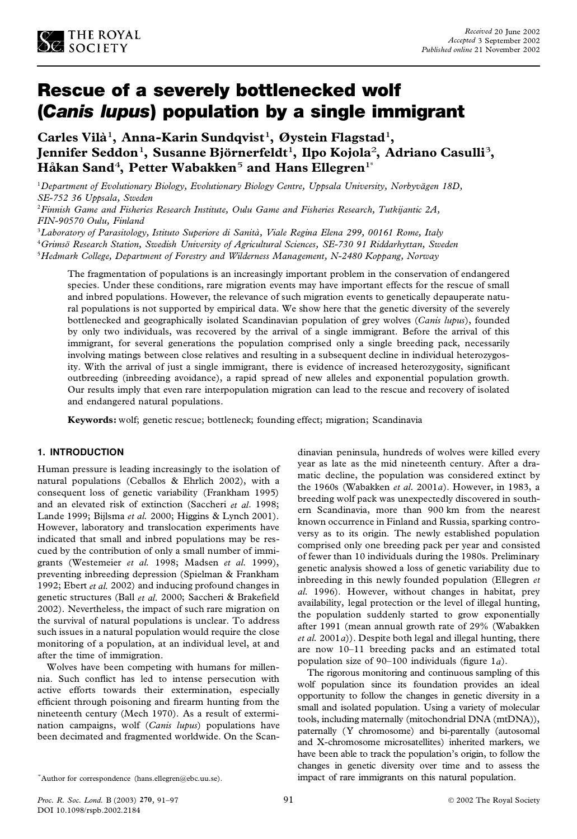

# Rescue of a severely bottlenecked wolf (*Canis lupus*) population by a single immigrant

**Carles Vila`** <sup>1</sup>**, Anna-Karin Sundqvist**1**, Øystein Flagstad**1**, Jennifer Seddon**1**, Susanne Bjo¨ rnerfeldt**1**, Ilpo Kojola**2**, Adriano Casulli**3**, HaÊ kan Sand**4**, Petter Wabakken**<sup>5</sup> **and Hans Ellegren**1\*

<sup>1</sup>*Department of Evolutionary Biology, Evolutionary Biology Centre, Uppsala University, Norbyva¨gen 18D, SE-752 36 Uppsala, Sweden*

<sup>2</sup>*Finnish Game and Fisheries Research Institute, Oulu Game and Fisheries Research, Tutkijantic 2A, FIN-90570 Oulu, Finland*

<sup>3</sup>*Laboratory of Parasitology, Istituto Superiore di Sanita`, Viale Regina Elena 299, 00161 Rome, Italy* <sup>4</sup>*Grimso¨ Research Station, Swedish University of Agricultural Sciences, SE-730 91 Riddarhyttan, Sweden* <sup>5</sup>*Hedmark College, Department of Forestry and Wilderness Management, N-2480 Koppang, Norway*

The fragmentation of populations is an increasingly important problem in the conservation of endangered species. Under these conditions, rare migration events may have important effects for the rescue of small and inbred populations. However, the relevance of such migration events to genetically depauperate natural populations is not supported by empirical data. We show here that the genetic diversity of the severely bottlenecked and geographically isolated Scandinavian population of grey wolves (*Canis lupus*), founded by only two individuals, was recovered by the arrival of a single immigrant. Before the arrival of this immigrant, for several generations the population comprised only a single breeding pack, necessarily involving matings between close relatives and resulting in a subsequent decline in individual heterozygosity. With the arrival of just a single immigrant, there is evidence of increased heterozygosity, significant outbreeding (inbreeding avoidance), a rapid spread of new alleles and exponential population growth. Our results imply that even rare interpopulation migration can lead to the rescue and recovery of isolated and endangered natural populations.

**Keywords:** wolf; genetic rescue; bottleneck; founding effect; migration; Scandinavia

#### **1. INTRODUCTION**

Human pressure is leading increasingly to the isolation of natural populations (Ceballos & Ehrlich 2002), with a consequent loss of genetic variability (Frankham 1995) and an elevated risk of extinction (Saccheri *et al*. 1998; Lande 1999; Bijlsma *et al.* 2000; Higgins & Lynch 2001). However, laboratory and translocation experiments have indicated that small and inbred populations may be res cued by the contribution of only a small number of immigrants (Westemeier *et al.* 1998; Madsen *et al.* 1999), preventing inbreeding depression (Spielman & Frankham 1992; Ebert *et al.* 2002) and inducing profound changes in genetic structures (Ball et al. 2000; Saccheri & Brakefield 2002). Nevertheless, the impact of such rare migration on the survival of natural populations is unclear. To address such issues in a natural population would require the close monitoring of a population, at an individual level, at and after the time of immigration.

Wolves have been competing with humans for millennia. Such conflict has led to intense persecution with active efforts towards their extermination, especially efficient through poisoning and firearm hunting from the nineteenth century (Mech 1970). As a result of extermination campaigns, wolf (*Canis lupus*) populations have been decimated and fragmented worldwide. On the Scan-

\*Author for correspondence (hans.ellegren@ebc.uu.se).

dinavian peninsula, hundreds of wolves were killed every year as late as the mid nineteenth century. After a dramatic decline, the population was considered extinct by the 1960s (Wabakken *et al.* 2001*a*). However, in 1983, a breeding wolf pack was unexpectedly discovered in south ern Scandinavia, more than 900 km from the nearest known occurrence in Finland and Russia, sparking controversy as to its origin. The newly established population comprised only one breeding pack per year and consisted of fewer than 10 individuals during the 1980s. Preliminary genetic analysis showed a loss of genetic variability due to inbreeding in this newly founded population (Ellegren *et al.* 1996). However, without changes in habitat, prey availability, legal protection or the level of illegal hunting, the population suddenly started to grow exponentially after 1991 (mean annual growth rate of 29% (Wabakken *et al.* 2001*a*)). Despite both legal and illegal hunting, there are now 10–11 breeding packs and an estimated total population size of  $90-100$  individuals (figure 1*a*).

The rigorous monitoring and continuous sampling of this wolf population since its foundation provides an ideal opportunity to follow the changes in genetic diversity in a small and isolated population. Using a variety of molecular tools, including maternally (mitochondrial DNA (mtDNA)), paternally (Y chromosome) and bi-parentally (autosomal and X-chromosome microsatellites) inherited markers, we have been able to track the population's origin, to follow the changes in genetic diversity over time and to assess the impact of rare immigrants on this natural population.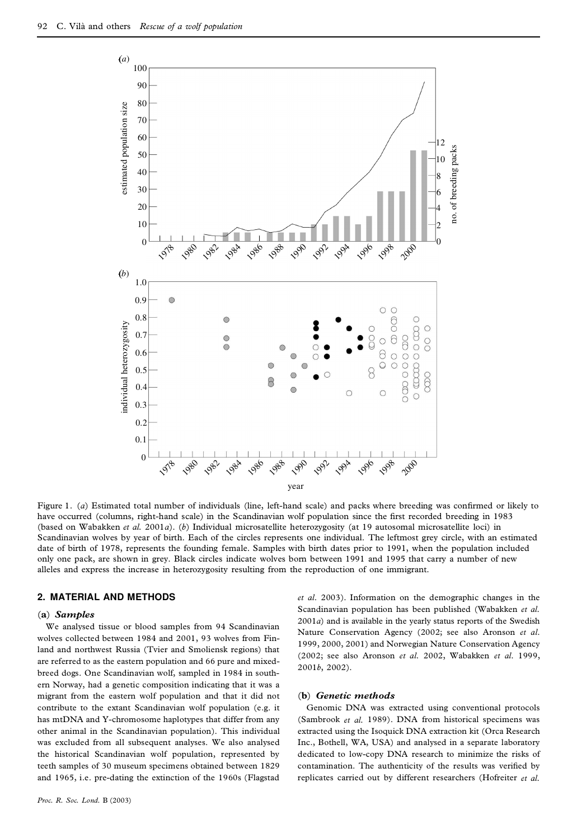

Figure 1. (*a*) Estimated total number of individuals (line, left-hand scale) and packs where breeding was confirmed or likely to have occurred (columns, right-hand scale) in the Scandinavian wolf population since the first recorded breeding in 1983 (based on Wabakken *et al.* 2001*a*). (*b*) Individual microsatellite heterozygosity (at 19 autosomal microsatellite loci) in Scandinavian wolves by year of birth. Each of the circles represents one individual. The leftmost grey circle, with an estimated date of birth of 1978, represents the founding female. Samples with birth dates prior to 1991, when the population included only one pack, are shown in grey. Black circles indicate wolves born between 1991 and 1995 that carry a number of new alleles and express the increase in heterozygosity resulting from the reproduction of one immigrant.

# **2. MATERIAL AND METHODS**

## (**a**) *Samples*

We analysed tissue or blood samples from 94 Scandinavian wolves collected between 1984 and 2001, 93 wolves from Finland and northwest Russia (Tvier and Smoliensk regions) that are referred to as the eastern population and 66 pure and mixedbreed dogs. One Scandinavian wolf, sampled in 1984 in south ern Norway, had a genetic composition indicating that it was a migrant from the eastern wolf population and that it did not contribute to the extant Scandinavian wolf population (e.g. it has mtDNA and Y-chromosome haplotypes that differ from any other animal in the Scandinavian population). This individual was excluded from all subsequent analyses. We also analysed the historical Scandinavian wolf population, represented by teeth samples of 30 museum specimens obtained between 1829 and 1965, i.e. pre-dating the extinction of the 1960s (Flagstad

*et al*. 2003). Information on the demographic changes in the Scandinavian population has been published (Wabakken *et al.*  $2001a$ ) and is available in the yearly status reports of the Swedish Nature Conservation Agency (2002; see also Aronson *et al*. 1999, 2000, 2001) and Norwegian Nature Conservation Agency (2002; see also Aronson *et al.* 2002, Wabakken *et al*. 1999, 2001*b*, 2002).

#### (**b**) *Genetic methods*

Genomic DNA was extracted using conventional protocols (Sambrook *et al.* 1989). DNA from historical specimens was extracted using the Isoquick DNA extraction kit (Orca Research Inc., Bothell, WA, USA) and analysed in a separate laboratory dedicated to low-copy DNA research to minimize the risks of contamination. The authenticity of the results was verified by replicates carried out by different researchers (Hofreiter *et al.*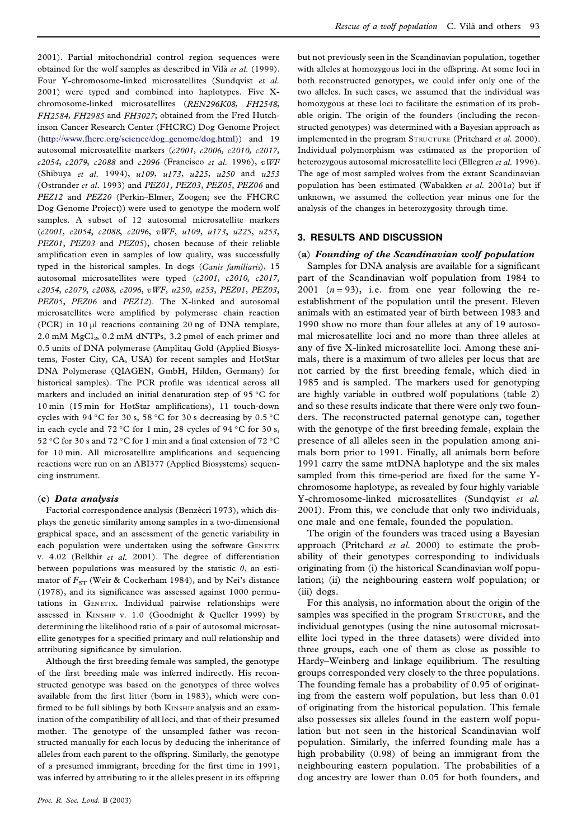2001). Partial mitochondrial control region sequences were obtained for the wolf samples as described in Vilà et al. (1999). Four Y-chromosome-linked microsatellites (Sundqvist *et al.* 2001) were typed and combined into haplotypes. Five Xchromosome-linked microsatellites (*REN296K08*, *FH2548*, *FH2584*, *FH2985* and *FH3027*; obtained from the Fred Hutchinson Cancer Research Center (FHCRC) Dog Genome Project [\(http://www.fhcrc.org/science/dog](http://www.fhcrc.org/science/dog_genome/dog.html)\_genome/dog.html)) and 19 autosomal microsatellite markers (*c2001*, *c2006*, *c2010*, *c2017*, *c2054*, *c2079*, *c2088* and *c2096* (Francisco *et al.* 1996), *vWF* (Shibuya *et al.* 1994), *u109*, *u173*, *u225*, *u250* and *u253* (Ostrander *et al.* 1993) and *PEZ01*, *PEZ03*, *PEZ05*, *PEZ06* and *PEZ12* and *PEZ20* (Perkin–Elmer, Zoogen; see the FHCRC Dog Genome Project)) were used to genotype the modern wolf samples. A subset of 12 autosomal microsatellite markers (*c2001*, *c2054*, *c2088*, *c2096*, *vWF*, *u109*, *u173*, *u225*, *u253*, *PEZ01*, *PEZ03* and *PEZ05*), chosen because of their reliable amplification even in samples of low quality, was successfully typed in the historical samples. In dogs (*Canis familiaris*), 15 autosomal microsatellites were typed (*c2001*, *c2010*, *c2017*, *c2054*, *c2079*, *c2088*, *c2096*, *vWF*, *u250*, *u253*, *PEZ01*, *PEZ03*, *PEZ05*, *PEZ06* and *PEZ12*). The X-linked and autosomal microsatellites were amplified by polymerase chain reaction (PCR) in  $10 \mu l$  reactions containing  $20 \text{ ng of DNA template}$ , 2.0 mM  $MgCl<sub>2</sub>$  0.2 mM dNTPs, 3.2 pmol of each primer and 0.5 units of DNA polymerase (Amplitaq Gold (Applied Biosystems, Foster City, CA, USA) for recent samples and HotStar DNA Polymerase (QIAGEN, GmbH, Hilden, Germany) for historical samples). The PCR profile was identical across all markers and included an initial denaturation step of 95 °C for 10 min (15 min for HotStar amplifications), 11 touch-down cycles with 94 °C for 30 s, 58 °C for 30 s decreasing by 0.5 °C in each cycle and 72 °C for 1 min, 28 cycles of 94 °C for 30 s, 52 °C for 30 s and 72 °C for 1 min and a final extension of 72 °C for 10 min. All microsatellite amplifications and sequencing reactions were run on an ABI377 (Applied Biosystems) sequencing instrument.

# (**c**) *Data analysis*

Factorial correspondence analysis (Benzécri 1973), which displays the genetic similarity among samples in a two-dimensional graphical space, and an assessment of the genetic variability in each population were undertaken using the software GENETIX v. 4.02 (Belkhir *et al.* 2001). The degree of differentiation between populations was measured by the statistic  $\theta$ , an estimator of  $F_{ST}$  (Weir & Cockerham 1984), and by Nei's distance (1978), and its significance was assessed against 1000 permutations in GENETIX. Individual pairwise relationships were assessed in Kinship v. 1.0 (Goodnight & Queller 1999) by determining the likelihood ratio of a pair of autosomal microsatellite genotypes for a specified primary and null relationship and attributing significance by simulation.

Although the first breeding female was sampled, the genotype of the first breeding male was inferred indirectly. His reconstructed genotype was based on the genotypes of three wolves available from the first litter (born in 1983), which were confirmed to be full siblings by both KINSHIP analysis and an examination of the compatibility of all loci, and that of their presumed mother. The genotype of the unsampled father was reconstructed manually for each locus by deducing the inheritance of alleles from each parent to the offspring. Similarly, the genotype of a presumed immigrant, breeding for the first time in 1991, was inferred by attributing to it the alleles present in its offspring

but not previously seen in the Scandinavian population, together with alleles at homozygous loci in the offspring. At some loci in both reconstructed genotypes, we could infer only one of the two alleles. In such cases, we assumed that the individual was homozygous at these loci to facilitate the estimation of its probable origin. The origin of the founders (including the reconstructed genotypes) was determined with a Bayesian approach as implemented in the program STRUCTURE (Pritchard et al. 2000). Individual polymorphism was estimated as the proportion of heterozygous autosomal microsatellite loci (Ellegren *etal.* 1996). The age of most sampled wolves from the extant Scandinavian population has been estimated (Wabakken *et al.* 2001*a*) but if unknown, we assumed the collection year minus one for the analysis of the changes in heterozygosity through time.

#### **3. RESULTS AND DISCUSSION**

#### (**a**) *Founding of the Scandinavian wolf population*

Samples for DNA analysis are available for a significant part of the Scandinavian wolf population from 1984 to 2001  $(n=93)$ , i.e. from one year following the reestablishment of the population until the present. Eleven animals with an estimated year of birth between 1983 and 1990 show no more than four alleles at any of 19 autosomal microsatellite loci and no more than three alleles at any of five X-linked microsatellite loci. Among these animals, there is a maximum of two alleles per locus that are not carried by the first breeding female, which died in 1985 and is sampled. The markers used for genotyping are highly variable in outbred wolf populations (table 2) and so these results indicate that there were only two founders. The reconstructed paternal genotype can, together with the genotype of the first breeding female, explain the presence of all alleles seen in the population among animals born prior to 1991. Finally, all animals born before 1991 carry the same mtDNA haplotype and the six males sampled from this time-period are fixed for the same Ychromosome haplotype, as revealed by four highly variable Y-chromosome-linked microsatellites (Sundqvist *et al.* 2001). From this, we conclude that only two individuals, one male and one female, founded the population.

The origin of the founders was traced using a Bayesian approach (Pritchard *et al.* 2000) to estimate the probability of their genotypes corresponding to individuals originating from (i) the historical Scandinavian wolf population; (ii) the neighbouring eastern wolf population; or (iii) dogs.

For this analysis, no information about the origin of the samples was specified in the program STRUCTURE, and the individual genotypes (using the nine autosomal microsatellite loci typed in the three datasets) were divided into three groups, each one of them as close as possible to Hardy–Weinberg and linkage equilibrium. The resulting groups corresponded very closely to the three populations. The founding female has a probability of 0.95 of originating from the eastern wolf population, but less than 0.01 of originating from the historical population. This female also possesses six alleles found in the eastern wolf population but not seen in the historical Scandinavian wolf population. Similarly, the inferred founding male has a high probability (0.98) of being an immigrant from the neighbouring eastern population. The probabilities of a dog ancestry are lower than 0.05 for both founders, and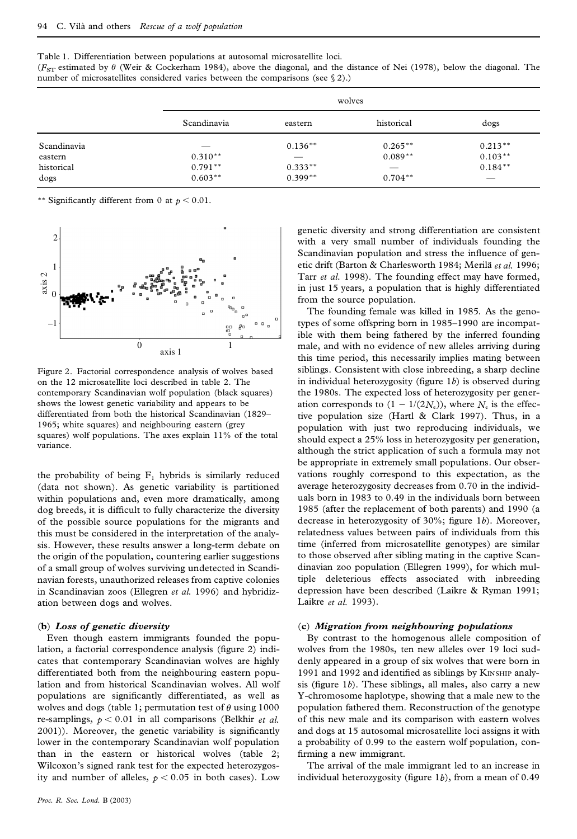Table 1. Differentiation between populations at autosomal microsatellite loci. ( $F<sub>ST</sub>$  estimated by  $\theta$  (Weir & Cockerham 1984), above the diagonal, and the distance of Nei (1978), below the diagonal. The number of microsatellites considered varies between the comparisons (see § 2).)

|             |             | wolves    |            |           |  |  |
|-------------|-------------|-----------|------------|-----------|--|--|
|             | Scandinavia | eastern   | historical | dogs      |  |  |
| Scandinavia |             | $0.136**$ | $0.265***$ | $0.213**$ |  |  |
| eastern     | $0.310**$   |           | $0.089**$  | $0.103**$ |  |  |
| historical  | $0.791**$   | $0.333**$ |            | $0.184**$ |  |  |
| dogs        | $0.603**$   | $0.399**$ | $0.704***$ | __        |  |  |

\*\* Significantly different from 0 at  $p < 0.01$ .



Figure 2. Factorial correspondence analysis of wolves based on the 12 microsatellite loci described in table 2. The contemporary Scandinavian wolf population (black squares) shows the lowest genetic variability and appears to be differentiated from both the historical Scandinavian (1829– 1965; white squares) and neighbouring eastern (grey squares) wolf populations. The axes explain 11% of the total variance.

the probability of being  $F_1$  hybrids is similarly reduced (data not shown). As genetic variability is partitioned within populations and, even more dramatically, among dog breeds, it is difficult to fully characterize the diversity of the possible source populations for the migrants and this must be considered in the interpretation of the analysis. However, these results answer a long-term debate on the origin of the population, countering earlier suggestions of a small group of wolves surviving undetected in Scandinavian forests, unauthorized releases from captive colonies in Scandinavian zoos (Ellegren *et al.* 1996) and hybridization between dogs and wolves.

# (**b**) *Loss of genetic diversity*

Even though eastern immigrants founded the population, a factorial correspondence analysis (figure 2) indicates that contemporary Scandinavian wolves are highly differentiated both from the neighbouring eastern population and from historical Scandinavian wolves. All wolf populations are significantly differentiated, as well as wolves and dogs (table 1; permutation test of  $\theta$  using 1000 re-samplings,  $p < 0.01$  in all comparisons (Belkhir *et al.* 2001)). Moreover, the genetic variability is significantly lower in the contemporary Scandinavian wolf population than in the eastern or historical wolves (table 2; Wilcoxon's signed rank test for the expected heterozygosity and number of alleles,  $p < 0.05$  in both cases). Low

genetic diversity and strong differentiation are consistent with a very small number of individuals founding the Scandinavian population and stress the influence of genetic drift (Barton & Charlesworth 1984; Merilä et al. 1996; Tarr *et al.* 1998). The founding effect may have formed, in just 15 years, a population that is highly differentiated from the source population.

The founding female was killed in 1985. As the genotypes of some offspring born in 1985–1990 are incompatible with them being fathered by the inferred founding male, and with no evidence of new alleles arriving during this time period, this necessarily implies mating between siblings. Consistent with close inbreeding, a sharp decline in individual heterozygosity (figure  $1b$ ) is observed during the 1980s. The expected loss of heterozygosity per generation corresponds to  $(1 - 1/(2N_e))$ , where  $N_e$  is the effective population size (Hartl & Clark 1997). Thus, in a population with just two reproducing individuals, we should expect a 25% loss in heterozygosity per generation, although the strict application of such a formula may not be appropriate in extremely small populations. Our observations roughly correspond to this expectation, as the average heterozygosity decreases from 0.70 in the individuals born in 1983 to 0.49 in the individuals born between 1985 (after the replacement of both parents) and 1990 (a decrease in heterozygosity of 30%; figure 1b). Moreover, relatedness values between pairs of individuals from this time (inferred from microsatellite genotypes) are similar to those observed after sibling mating in the captive Scandinavian zoo population (Ellegren 1999), for which multiple deleterious effects associated with inbreeding depression have been described (Laikre & Ryman 1991; Laikre *et al.* 1993).

## (**c**) *Migration from neighbouring populations*

By contrast to the homogenous allele composition of wolves from the 1980s, ten new alleles over 19 loci suddenly appeared in a group of six wolves that were born in 1991 and 1992 and identified as siblings by KINSHIP analysis (figure 1*b*). These siblings, all males, also carry a new Y-chromosome haplotype, showing that a male new to the population fathered them. Reconstruction of the genotype of this new male and its comparison with eastern wolves and dogs at 15 autosomal microsatellite loci assigns it with a probability of 0.99 to the eastern wolf population, con firming a new immigrant.

The arrival of the male immigrant led to an increase in individual heterozygosity (figure  $1b$ ), from a mean of  $0.49$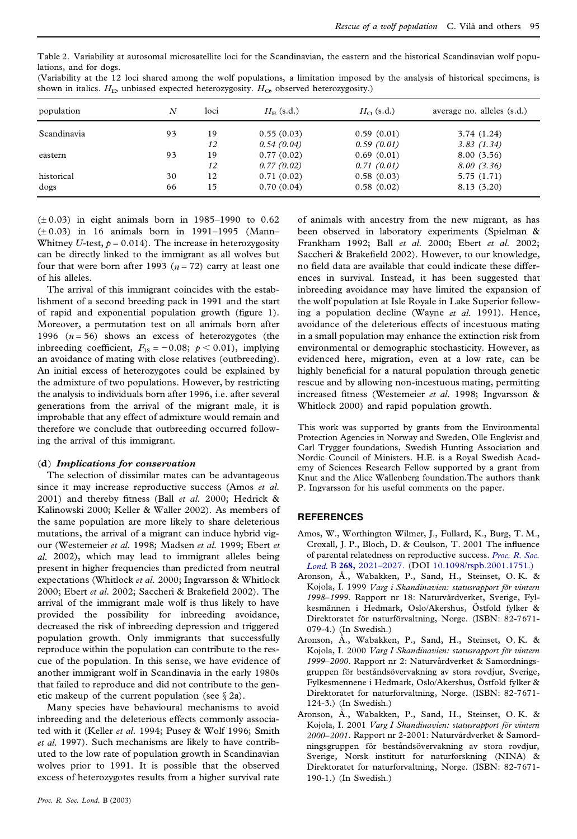| Table 2. Variability at autosomal microsatellite loci for the Scandinavian, the eastern and the historical Scandinavian wolf popu- |  |  |  |  |  |
|------------------------------------------------------------------------------------------------------------------------------------|--|--|--|--|--|
| lations, and for dogs.                                                                                                             |  |  |  |  |  |

| (Variability at the 12 loci shared among the wolf populations, a limitation imposed by the analysis of historical specimens, is |  |
|---------------------------------------------------------------------------------------------------------------------------------|--|
| shown in italics. $H_{\text{E}$ unbiased expected heterozygosity. $H_{\text{O}}$ observed heterozygosity.)                      |  |

| population  | N  | loci | $H_F$ (s.d.) | $H_{\Omega}$ (s.d.) | average no. alleles (s.d.) |
|-------------|----|------|--------------|---------------------|----------------------------|
| Scandinavia | 93 | 19   | 0.55(0.03)   | 0.59(0.01)          | 3.74(1.24)                 |
|             |    | 12   | 0.54(0.04)   | 0.59(0.01)          | 3.83(1.34)                 |
| eastern     | 93 | 19   | 0.77(0.02)   | 0.69(0.01)          | 8.00(3.56)                 |
|             |    | 12   | 0.77(0.02)   | 0.71(0.01)          | 8.00(3.36)                 |
| historical  | 30 | 12   | 0.71(0.02)   | 0.58(0.03)          | 5.75(1.71)                 |
| dogs        | 66 | 15   | 0.70(0.04)   | 0.58(0.02)          | 8.13 (3.20)                |

 $(\pm 0.03)$  in eight animals born in 1985–1990 to 0.62 (± 0.03) in 16 animals born in 1991–1995 (Mann– Whitney *U*-test,  $p = 0.014$ ). The increase in heterozygosity can be directly linked to the immigrant as all wolves but four that were born after 1993 ( $n = 72$ ) carry at least one of his alleles.

The arrival of this immigrant coincides with the establishment of a second breeding pack in 1991 and the start of rapid and exponential population growth (figure 1). Moreover, a permutation test on all animals born after 1996  $(n=56)$  shows an excess of heterozygotes (the inbreeding coefficient,  $F_{IS} = -0.08; \ p < 0.01$ ), implying an avoidance of mating with close relatives (outbreeding). An initial excess of heterozygotes could be explained by the admixture of two populations. However, by restricting the analysis to individuals born after 1996, i.e. after several generations from the arrival of the migrant male, it is improbable that any effect of admixture would remain and therefore we conclude that outbreeding occurred following the arrival of this immigrant.

#### (**d**) *Implications for conservation*

The selection of dissimilar mates can be advantageous since it may increase reproductive success (Amos *et al.* 2001) and thereby fitness (Ball et al. 2000; Hedrick & Kalinowski 2000; Keller & Waller 2002). As members of the same population are more likely to share deleterious mutations, the arrival of a migrant can induce hybrid vig our (Westemeier *et al.* 1998; Madsen *etal.* 1999; Ebert *et al.* 2002), which may lead to immigrant alleles being present in higher frequencies than predicted from neutral expectations (Whitlock *et al.* 2000; Ingvarsson & Whitlock 2000; Ebert *et al.* 2002; Saccheri & Brakefield 2002). The arrival of the immigrant male wolf is thus likely to have provided the possibility for inbreeding avoidance, decreased the risk of inbreeding depression and triggered population growth. Only immigrants that successfully reproduce within the population can contribute to the res cue of the population. In this sense, we have evidence of another immigrant wolf in Scandinavia in the early 1980s that failed to reproduce and did not contribute to the genetic makeup of the current population (see  $\S$  2a).

Many species have behavioural mechanisms to avoid inbreeding and the deleterious effects commonly associated with it (Keller *et al.* 1994; Pusey & Wolf 1996; Smith *et al.* 1997). Such mechanisms are likely to have contributed to the low rate of population growth in Scandinavian wolves prior to 1991. It is possible that the observed excess of heterozygotes results from a higher survival rate

of animals with ancestry from the new migrant, as has been observed in laboratory experiments (Spielman & Frankham 1992; Ball *et al.* 2000; Ebert *et al.* 2002; Saccheri & Brakefield 2002). However, to our knowledge, no field data are available that could indicate these differences in survival. Instead, it has been suggested that inbreeding avoidance may have limited the expansion of the wolf population at Isle Royale in Lake Superior following a population decline (Wayne *et al.* 1991). Hence, avoidance of the deleterious effects of incestuous mating in a small population may enhance the extinction risk from environmental or demographic stochasticity. However, as evidenced here, migration, even at a low rate, can be highly beneficial for a natural population through genetic rescue and by allowing non-incestuous mating, permitting increased tness (Westemeier *et al.* 1998; Ingvarsson & Whitlock 2000) and rapid population growth.

This work was supported by grants from the Environmental Protection Agencies in Norway and Sweden, Olle Engkvist and Carl Trygger foundations, Swedish Hunting Association and Nordic Council of Ministers. H.E. is a Royal Swedish Academy of Sciences Research Fellow supported by a grant from Knut and the Alice Wallenberg foundation.The authors thank P. Ingvarsson for his useful comments on the paper.

# **REFERENCES**

- Amos, W., Worthington Wilmer, J., Fullard, K., Burg, T. M., Croxall, J. P., Bloch, D. & Coulson, T. 2001 The influence of parental relatedness on reproductive success. *[Proc.](http://pippo.ingentaselect.com/nw=1/rpsv/cgi-bin/linker?ext=a&reqidx=/0962-8452^28^29268L.2021[aid=2232399]) R. Soc. Lond.* B **268**, [2021–2027.](http://pippo.ingentaselect.com/nw=1/rpsv/cgi-bin/linker?ext=a&reqidx=/0962-8452^28^29268L.2021[aid=2232399]) (DOI [10.1098/rspb.2001.1751.\)](http://dx.doi.org/10.1098/rspb.2001.1751.%29)
- Aronson, Å., Wabakken, P., Sand, H., Steinset, O.K. & Kojola, I. 1999 *Varg i* Skandinavien: *statusrapport för vintern* 1998–1999. Rapport nr 18: Naturvårdverket, Sverige, Fylkesmännen i Hedmark, Oslo/Akershus, Östfold fylker & Direktoratet för naturförvaltning, Norge. (ISBN: 82-7671-079-4.) (In Swedish.)
- Aronson, A., Wabakken, P., Sand, H., Steinset, O.K. & Kojola, I. 2000 *Varg I Skandinavien: statusrapport fo¨r vintern* 1999–2000. Rapport nr 2: Naturvårdverket & Samordningsgruppen för beståndsövervakning av stora rovdjur, Sverige, Fylkesmennene i Hedmark, Oslo/Akershus, Östfold fylker & Direktoratet for naturforvaltning, Norge. (ISBN: 82-7671- 124-3.) (In Swedish.)
- Aronson, A., Wabakken, P., Sand, H., Steinset, O.K. & Kojola, I. 2001 *Varg I Skandinavien: statusrapport fo¨r vintern* 2000–2001. Rapport nr 2-2001: Naturvårdverket & Samordningsgruppen för beståndsövervakning av stora rovdjur, Sverige, Norsk institutt for naturforskning (NINA) & Direktoratet for naturforvaltning, Norge. (ISBN: 82-7671- 190-1.) (In Swedish.)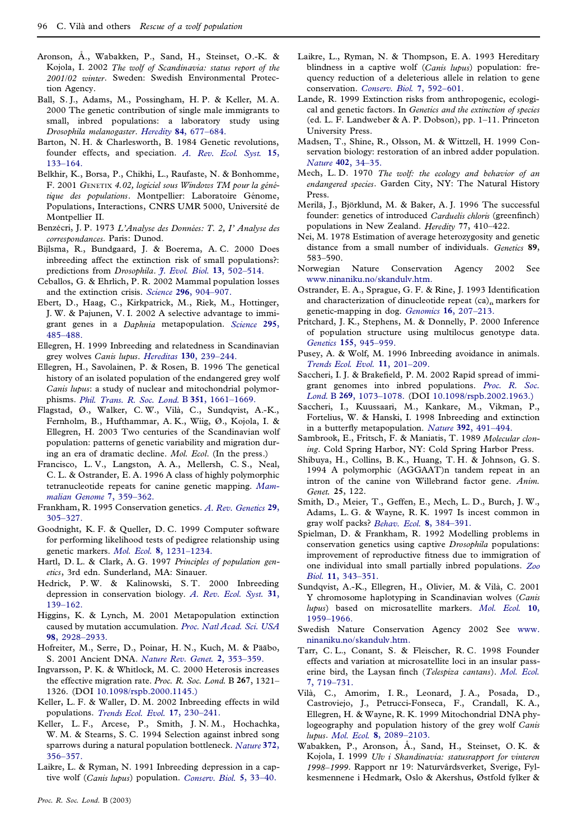- Aronson, Å., Wabakken, P., Sand, H., Steinset, O.-K. & Kojola, I. 2002 *The wolf of Scandinavia: status report of the 2001/02 winter*. Sweden: Swedish Environmental Protection Agency.
- Ball, S. J., Adams, M., Possingham, H. P. & Keller, M. A. 2000 The genetic contribution of single male immigrants to small, inbred populations: a laboratory study using *Drosophila melanogaster*. *Heredity* **84**, [677–684.](http://pippo.ingentaselect.com/nw=1/rpsv/cgi-bin/linker?ext=a&reqidx=/1365-2540^28^2984L.677[aid=2338045])
- Barton, N. H. & Charlesworth, B. 1984 Genetic revolutions, founder effects, and speciation. *A. Rev. [Ecol.](http://pippo.ingentaselect.com/nw=1/rpsv/cgi-bin/linker?ext=a&reqidx=/0066-4162^28^2915L.133[aid=6874]) Syst.* **15**, [133–164.](http://pippo.ingentaselect.com/nw=1/rpsv/cgi-bin/linker?ext=a&reqidx=/0066-4162^28^2915L.133[aid=6874])
- Belkhir, K., Borsa, P., Chikhi, L., Raufaste, N. & Bonhomme, F. 2001 *G*enetix *4.02, logiciel sous Windows TM pour la ge´ne´* tique des populations. Montpellier: Laboratoire Génome, Populations, Interactions, CNRS UMR 5000, Université de Montpellier II.
- Benze´cri, J. P. 1973 *L'Analyse des Donne´es: T. 2, I' Analyse des correspondances*. Paris: Dunod.
- Bijlsma, R., Bundgaard, J. & Boerema, A. C. 2000 Does inbreeding affect the extinction risk of small populations?: predictions from *Drosophila*. *J. Evol. Biol.* **13**, [502–514.](http://pippo.ingentaselect.com/nw=1/rpsv/cgi-bin/linker?ext=a&reqidx=/1010-061X^28^2913L.502[aid=1952856])
- Ceballos, G. & Ehrlich, P. R. 2002 Mammal population losses and the extinction crisis. *Science* **296**, [904–907.](http://pippo.ingentaselect.com/nw=1/rpsv/cgi-bin/linker?ext=a&reqidx=/0036-8075^28^29296L.904[aid=3336725])
- Ebert, D., Haag, C., Kirkpatrick, M., Riek, M., Hottinger, J. W. & Pajunen, V. I. 2002 A selective advantage to immigrant genes in a *Daphnia* metapopulation. *[Science](http://pippo.ingentaselect.com/nw=1/rpsv/cgi-bin/linker?ext=a&reqidx=/0036-8075^28^29295L.485[aid=2338047])* **295**, [485–488.](http://pippo.ingentaselect.com/nw=1/rpsv/cgi-bin/linker?ext=a&reqidx=/0036-8075^28^29295L.485[aid=2338047])
- Ellegren, H. 1999 Inbreeding and relatedness in Scandinavian grey wolves *Canis lupus*. *Hereditas* **130**, [239–244.](http://pippo.ingentaselect.com/nw=1/rpsv/cgi-bin/linker?ext=a&reqidx=/0018-0661^28^29130L.239[aid=3336726])
- Ellegren, H., Savolainen, P. & Rosen, B. 1996 The genetical history of an isolated population of the endangered grey wolf *Canis lupus*: a study of nuclear and mitochondrial polymorphisms. *Phil. Trans. R. Soc. Lond.* B **351**, [1661–1669.](http://pippo.ingentaselect.com/nw=1/rpsv/cgi-bin/linker?ext=a&reqidx=/0962-8436^28^29351L.1661[aid=3336727])
- Flagstad, Ø., Walker, C. W., Vilà, C., Sundqvist, A.-K., Fernholm, B., Hufthammar, A. K., Wiig, Ø., Kojola, I. & Ellegren, H. 2003 Two centuries of the Scandinavian wolf population: patterns of genetic variability and migration during an era of dramatic decline. *Mol. Ecol*. (In the press.)
- Francisco, L. V., Langston, A. A., Mellersh, C. S., Neal, C. L. & Ostrander, E. A. 1996 A class of highly polymorphic tetranucleotide repeats for canine genetic mapping. *[Mam](http://pippo.ingentaselect.com/nw=1/rpsv/cgi-bin/linker?ext=a&reqidx=/0938-8990^28^297L.359[aid=3336728])malian Genome* **7**, [359–362.](http://pippo.ingentaselect.com/nw=1/rpsv/cgi-bin/linker?ext=a&reqidx=/0938-8990^28^297L.359[aid=3336728])
- Frankham, R. 1995 Conservation genetics. *A. Rev. [Genetics](http://pippo.ingentaselect.com/nw=1/rpsv/cgi-bin/linker?ext=a&reqidx=/0066-4197^28^2929L.305[aid=6880])* **29**, [305–327.](http://pippo.ingentaselect.com/nw=1/rpsv/cgi-bin/linker?ext=a&reqidx=/0066-4197^28^2929L.305[aid=6880])
- Goodnight, K. F. & Queller, D. C. 1999 Computer software for performing likelihood tests of pedigree relationship using genetic markers. *Mol. Ecol.* **8**, [1231–1234.](http://pippo.ingentaselect.com/nw=1/rpsv/cgi-bin/linker?ext=a&reqidx=/0962-1083^28^298L.1231[aid=987292])
- Hartl, D. L. & Clark, A. G. 1997 *Principles of population genetics*, 3rd edn. Sunderland, MA: Sinauer.
- Hedrick, P. W. & Kalinowski, S. T. 2000 Inbreeding depression in conservation biology. *A. Rev. Ecol. [Syst.](http://pippo.ingentaselect.com/nw=1/rpsv/cgi-bin/linker?ext=a&reqidx=/0066-4162^28^2931L.139[aid=1441923])* **31**, [139–162.](http://pippo.ingentaselect.com/nw=1/rpsv/cgi-bin/linker?ext=a&reqidx=/0066-4162^28^2931L.139[aid=1441923])
- Higgins, K. & Lynch, M. 2001 Metapopulation extinction caused by mutation accumulation. *Proc. Natl [Acad.](http://pippo.ingentaselect.com/nw=1/rpsv/cgi-bin/linker?ext=a&reqidx=/0027-8424^28^2998L.2928[aid=3336729]) Sci. USA* **98**, [2928–2933.](http://pippo.ingentaselect.com/nw=1/rpsv/cgi-bin/linker?ext=a&reqidx=/0027-8424^28^2998L.2928[aid=3336729])
- Hofreiter, M., Serre, D., Poinar, H. N., Kuch, M. & Pääbo, S. 2001 Ancient DNA. *Nature Rev. Genet.* **2**, [353–359.](http://pippo.ingentaselect.com/nw=1/rpsv/cgi-bin/linker?ext=a&reqidx=/1471-0056^28^292L.353[aid=3336730])
- Ingvarsson, P. K. & Whitlock, M. C. 2000 Heterosis increases the effective migration rate. *Proc. R. Soc. Lond.* B **267**, 1321– 1326. (DOI [10.1098/rspb.2000.1145.\)](http://dx.doi.org/10.1098/rspb.2000.1145.%29)
- Keller, L. F. & Waller, D. M. 2002 Inbreeding effects in wild populations. *Trends Ecol. Evol.* **17**, [230–241.](http://pippo.ingentaselect.com/nw=1/rpsv/cgi-bin/linker?ext=a&reqidx=/0169-5347^28^2917L.230[aid=3336732])
- Keller, L. F., Arcese, P., Smith, J. N. M., Hochachka, W. M. & Stearns, S. C. 1994 Selection against inbred song sparrows during a natural population bottleneck. *[Nature](http://pippo.ingentaselect.com/nw=1/rpsv/cgi-bin/linker?ext=a&reqidx=/0028-0836^28^29372L.356[aid=8796])* **372**, [356–357.](http://pippo.ingentaselect.com/nw=1/rpsv/cgi-bin/linker?ext=a&reqidx=/0028-0836^28^29372L.356[aid=8796])
- Laikre, L. & Ryman, N. 1991 Inbreeding depression in a captive wolf (*Canis lupus*) population. *[Conserv.](http://pippo.ingentaselect.com/nw=1/rpsv/cgi-bin/linker?ext=a&reqidx=/0888-8892^28^295L.33[aid=3336733]) Biol.* **5**, 33–40.
- *Proc. R. Soc. Lond.* B (2003)
- Laikre, L., Ryman, N. & Thompson, E. A. 1993 Hereditary blindness in a captive wolf (*Canis lupus*) population: frequency reduction of a deleterious allele in relation to gene conservation. *Conserv. Biol.* **7**, [592–601.](http://pippo.ingentaselect.com/nw=1/rpsv/cgi-bin/linker?ext=a&reqidx=/0888-8892^28^297L.592[aid=3336734])
- Lande, R. 1999 Extinction risks from anthropogenic, ecological and genetic factors. In *Genetics and the extinction of species* (ed. L. F. Landweber & A. P. Dobson), pp. 1–11. Princeton University Press.
- Madsen, T., Shine, R., Olsson, M. & Wittzell, H. 1999 Conservation biology: restoration of an inbred adder population. *Nature* **402**, [34–35.](http://pippo.ingentaselect.com/nw=1/rpsv/cgi-bin/linker?ext=a&reqidx=/0028-0836^28^29402L.34[aid=526813])
- Mech, L. D. 1970 *The wolf: the ecology and behavior of an endangered species*. Garden City, NY: The Natural History Press.
- Merilä, J., Björklund, M. & Baker, A. J. 1996 The successful founder: genetics of introduced *Carduelis chloris* (greenfinch) populations in New Zealand. *Heredity* **77**, 410–422.
- Nei, M. 1978 Estimation of average heterozygosity and genetic distance from a small number of individuals. *Genetics* **89**, 583–590.
- Norwegian Nature Conservation Agency 2002 See [www.ninaniku.no/skandulv.htm.](http://www.ninaniku.no/skandulv.htm)
- Ostrander, E. A., Sprague, G. F. & Rine, J. 1993 Identification and characterization of dinucleotide repeat  $(ca)_n$  markers for genetic-mapping in dog. *Genomics* **16**, [207–213.](http://pippo.ingentaselect.com/nw=1/rpsv/cgi-bin/linker?ext=a&reqidx=/0888-7543^28^2916L.207[aid=3336735])
- Pritchard, J. K., Stephens, M. & Donnelly, P. 2000 Inference of population structure using multilocus genotype data. *Genetics* **155**, [945–959.](http://pippo.ingentaselect.com/nw=1/rpsv/cgi-bin/linker?ext=a&reqidx=/0016-6731^28^29155L.945[aid=1126014])
- Pusey, A. & Wolf, M. 1996 Inbreeding avoidance in animals. *Trends Ecol. Evol.* **11**, [201–209.](http://pippo.ingentaselect.com/nw=1/rpsv/cgi-bin/linker?ext=a&reqidx=/0169-5347^28^2911L.201[aid=526266])
- Saccheri, I. J. & Brakefield, P. M. 2002 Rapid spread of immigrant genomes into inbred populations. *[Proc.](http://pippo.ingentaselect.com/nw=1/rpsv/cgi-bin/linker?ext=a&reqidx=/0962-8452^28^29269L.1073[aid=3336736]) R. Soc. Lond.* B **269**, [1073–1078.](http://pippo.ingentaselect.com/nw=1/rpsv/cgi-bin/linker?ext=a&reqidx=/0962-8452^28^29269L.1073[aid=3336736]) (DOI [10.1098/rspb.2002.1963.\)](http://dx.doi.org/10.1098/rspb.2002.1963.%29)
- Saccheri, I., Kuussaari, M., Kankare, M., Vikman, P., Fortelius, W. & Hanski, I. 1998 Inbreeding and extinction in a butterfly metapopulation. *Nature* 392, 491-494.
- Sambrook, E., Fritsch, F. & Maniatis, T. 1989 *Molecular cloning*. Cold Spring Harbor, NY: Cold Spring Harbor Press.
- Shibuya, H., Collins, B. K., Huang, T. H. & Johnson, G. S. 1994 A polymorphic (AGGAAT)n tandem repeat in an intron of the canine von Willebrand factor gene. *Anim. Genet.* **25**, 122.
- Smith, D., Meier, T., Geffen, E., Mech, L. D., Burch, J. W., Adams, L. G. & Wayne, R. K. 1997 Is incest common in gray wolf packs? *Behav. Ecol.* **8**, [384–391.](http://pippo.ingentaselect.com/nw=1/rpsv/cgi-bin/linker?ext=a&reqidx=/1045-2249^28^298L.384[aid=3336738])
- Spielman, D. & Frankham, R. 1992 Modelling problems in conservation genetics using captive *Drosophila* populations: improvement of reproductive fitness due to immigration of one individual into small partially inbred populations. *[Zoo](http://pippo.ingentaselect.com/nw=1/rpsv/cgi-bin/linker?ext=a&reqidx=/0733-3188^28^2911L.343[aid=528361]) Biol.* **11**, [343–351.](http://pippo.ingentaselect.com/nw=1/rpsv/cgi-bin/linker?ext=a&reqidx=/0733-3188^28^2911L.343[aid=528361])
- Sundqvist, A.-K., Ellegren, H., Olivier, M. & Vilà, C. 2001 Y chromosome haplotyping in Scandinavian wolves (*Canis lupus*) based on microsatellite markers. *Mol. [Ecol.](http://pippo.ingentaselect.com/nw=1/rpsv/cgi-bin/linker?ext=a&reqidx=/0962-1083^28^2910L.1959[aid=3336739])* **10**, [1959–1966.](http://pippo.ingentaselect.com/nw=1/rpsv/cgi-bin/linker?ext=a&reqidx=/0962-1083^28^2910L.1959[aid=3336739])
- Swedish Nature Conservation Agency 2002 See [www.](http://www.ninaniku.no/skandulv.htm) [ninaniku.no/skandulv.htm.](http://www.ninaniku.no/skandulv.htm)
- Tarr, C. L., Conant, S. & Fleischer, R. C. 1998 Founder effects and variation at microsatellite loci in an insular passerine bird, the Laysan finch (*Telespiza cantans*). *Mol. [Ecol.](http://pippo.ingentaselect.com/nw=1/rpsv/cgi-bin/linker?ext=a&reqidx=/0962-1083^28^297L.719[aid=3336740])* **7**, [719–731.](http://pippo.ingentaselect.com/nw=1/rpsv/cgi-bin/linker?ext=a&reqidx=/0962-1083^28^297L.719[aid=3336740])
- Vila`, C., Amorim, I. R., Leonard, J. A., Posada, D., Castroviejo, J., Petrucci-Fonseca, F., Crandall, K. A., Ellegren, H. & Wayne, R. K. 1999 Mitochondrial DNA phylogeography and population history of the grey wolf *Canis lupus*. *Mol. Ecol.* **8**, [2089–2103.](http://pippo.ingentaselect.com/nw=1/rpsv/cgi-bin/linker?ext=a&reqidx=/0962-1083^28^298L.2089[aid=3336741])
- Wabakken, P., Aronson, A., Sand, H., Steinset, O.K. & Kojola, I. 1999 *Ulv i Skandinavia: statusrapport for vinteren* 1998–1999. Rapport nr 19: Naturvårdsverket, Sverige, Fylkesmennene i Hedmark, Oslo & Akershus, Østfold fylker &